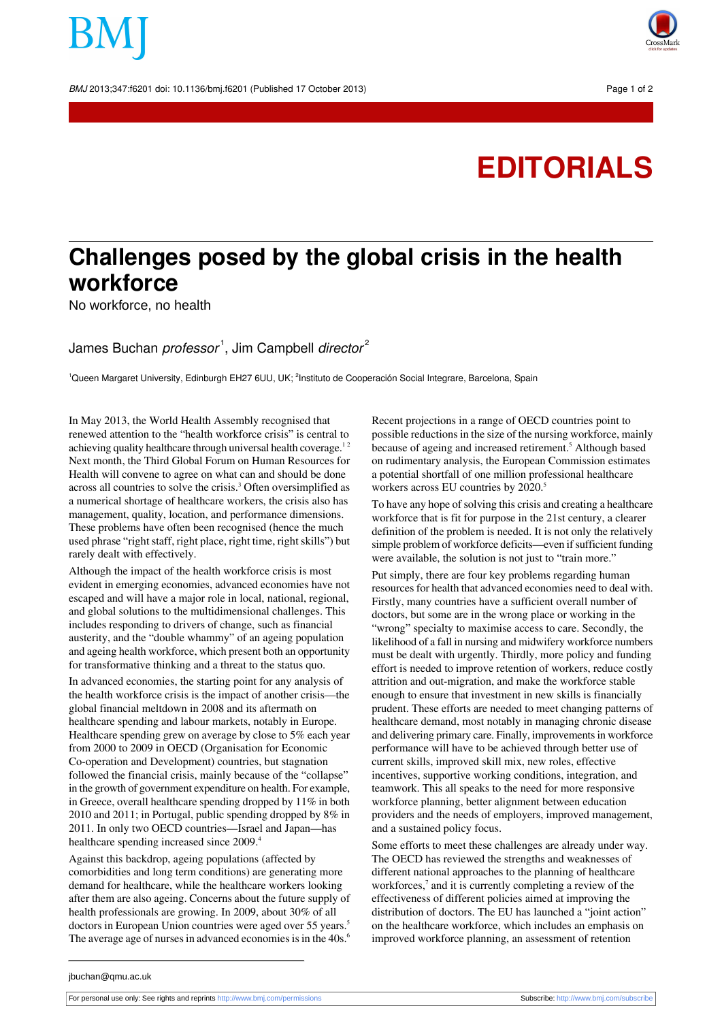BMJ 2013:347:f6201 doi: 10.1136/bmi.f6201 (Published 17 October 2013) Page 1 of 2



## **EDITORIALS**

## **Challenges posed by the global crisis in the health workforce**

No workforce, no health

## James Buchan *professor* <sup>1</sup>, Jim Campbell *director*  $^2$

<sup>1</sup>Queen Margaret University, Edinburgh EH27 6UU, UK; <sup>2</sup>Instituto de Cooperación Social Integrare, Barcelona, Spain

In May 2013, the World Health Assembly recognised that renewed attention to the "health workforce crisis" is central to achieving quality healthcare through universal health coverage.<sup>1</sup> Next month, the Third Global Forum on Human Resources for Health will convene to agree on what can and should be done across all countries to solve the crisis.<sup>3</sup> Often oversimplified as a numerical shortage of healthcare workers, the crisis also has management, quality, location, and performance dimensions. These problems have often been recognised (hence the much used phrase "right staff, right place, right time, right skills") but rarely dealt with effectively.

Although the impact of the health workforce crisis is most evident in emerging economies, advanced economies have not escaped and will have a major role in local, national, regional, and global solutions to the multidimensional challenges. This includes responding to drivers of change, such as financial austerity, and the "double whammy" of an ageing population and ageing health workforce, which present both an opportunity for transformative thinking and a threat to the status quo.

In advanced economies, the starting point for any analysis of the health workforce crisis is the impact of another crisis—the global financial meltdown in 2008 and its aftermath on healthcare spending and labour markets, notably in Europe. Healthcare spending grew on average by close to 5% each year from 2000 to 2009 in OECD (Organisation for Economic Co-operation and Development) countries, but stagnation followed the financial crisis, mainly because of the "collapse" in the growth of government expenditure on health. For example, in Greece, overall healthcare spending dropped by 11% in both 2010 and 2011; in Portugal, public spending dropped by 8% in 2011. In only two OECD countries—Israel and Japan—has healthcare spending increased since 2009.<sup>4</sup>

Against this backdrop, ageing populations (affected by comorbidities and long term conditions) are generating more demand for healthcare, while the healthcare workers looking after them are also ageing. Concerns about the future supply of health professionals are growing. In 2009, about 30% of all doctors in European Union countries were aged over 55 years.<sup>5</sup> The average age of nurses in advanced economies is in the 40s.<sup>6</sup>

Recent projections in a range of OECD countries point to possible reductions in the size of the nursing workforce, mainly because of ageing and increased retirement.<sup>5</sup> Although based on rudimentary analysis, the European Commission estimates a potential shortfall of one million professional healthcare workers across EU countries by 2020.<sup>5</sup>

To have any hope of solving this crisis and creating a healthcare workforce that is fit for purpose in the 21st century, a clearer definition of the problem is needed. It is not only the relatively simple problem of workforce deficits—even if sufficient funding were available, the solution is not just to "train more."

Put simply, there are four key problems regarding human resources for health that advanced economies need to deal with. Firstly, many countries have a sufficient overall number of doctors, but some are in the wrong place or working in the "wrong" specialty to maximise access to care. Secondly, the likelihood of a fall in nursing and midwifery workforce numbers must be dealt with urgently. Thirdly, more policy and funding effort is needed to improve retention of workers, reduce costly attrition and out-migration, and make the workforce stable enough to ensure that investment in new skills is financially prudent. These efforts are needed to meet changing patterns of healthcare demand, most notably in managing chronic disease and delivering primary care. Finally, improvements in workforce performance will have to be achieved through better use of current skills, improved skill mix, new roles, effective incentives, supportive working conditions, integration, and teamwork. This all speaks to the need for more responsive workforce planning, better alignment between education providers and the needs of employers, improved management, and a sustained policy focus.

Some efforts to meet these challenges are already under way. The OECD has reviewed the strengths and weaknesses of different national approaches to the planning of healthcare workforces,<sup>7</sup> and it is currently completing a review of the effectiveness of different policies aimed at improving the distribution of doctors. The EU has launched a "joint action" on the healthcare workforce, which includes an emphasis on improved workforce planning, an assessment of retention

jbuchan@qmu.ac.uk